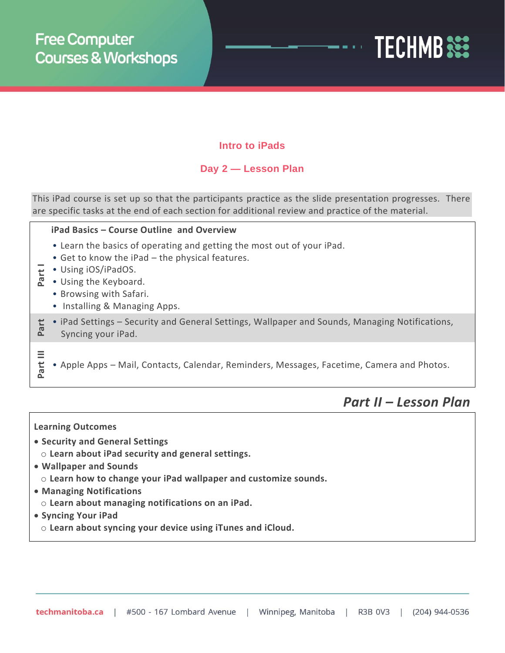

### **Intro to iPads**

## **Day 2 — Lesson Plan**

This iPad course is set up so that the participants practice as the slide presentation progresses. There are specific tasks at the end of each section for additional review and practice of the material.

### **iPad Basics – Course Outline and Overview**

- Learn the basics of operating and getting the most out of your iPad.
- Get to know the iPad the physical features.
- 
- **P** Using iOS/iPadOS.<br>**A** Using the Keyboar • Using the Keyboard.
	- Browsing with Safari.
	- Installing & Managing Apps.
- **Part II** • iPad Settings – Security and General Settings, Wallpaper and Sounds, Managing Notifications, Syncing your iPad.
- **Part III**
- Apple Apps Mail, Contacts, Calendar, Reminders, Messages, Facetime, Camera and Photos.
	- *Part II – Lesson Plan*

### **Learning Outcomes**

- **Security and General Settings**
	- o **Learn about iPad security and general settings.**
- **Wallpaper and Sounds**
	- o **Learn how to change your iPad wallpaper and customize sounds.**
- **Managing Notifications**
	- o **Learn about managing notifications on an iPad.**
- **Syncing Your iPad**
- o **Learn about syncing your device using iTunes and iCloud.**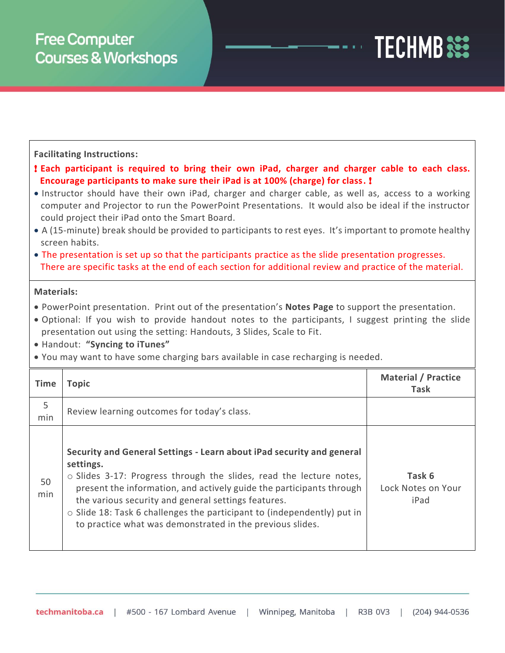# **TECHMB**

### **Facilitating Instructions:**

! **Each participant is required to bring their own iPad, charger and charger cable to each class. Encourage participants to make sure their iPad is at 100% (charge) for class.** !

- Instructor should have their own iPad, charger and charger cable, as well as, access to a working computer and Projector to run the PowerPoint Presentations. It would also be ideal if the instructor could project their iPad onto the Smart Board.
- A (15-minute) break should be provided to participants to rest eyes. It's important to promote healthy screen habits.
- The presentation is set up so that the participants practice as the slide presentation progresses. There are specific tasks at the end of each section for additional review and practice of the material.

### **Materials:**

- PowerPoint presentation. Print out of the presentation's **Notes Page** to support the presentation.
- Optional: If you wish to provide handout notes to the participants, I suggest printing the slide presentation out using the setting: Handouts, 3 Slides, Scale to Fit.
- Handout: **"Syncing to iTunes"**
- You may want to have some charging bars available in case recharging is needed.

| Time      | Topic                                                                                                                                                                                                                                                                                                                                                                                                                                        | <b>Material / Practice</b><br>Task   |
|-----------|----------------------------------------------------------------------------------------------------------------------------------------------------------------------------------------------------------------------------------------------------------------------------------------------------------------------------------------------------------------------------------------------------------------------------------------------|--------------------------------------|
| 5<br>min  | Review learning outcomes for today's class.                                                                                                                                                                                                                                                                                                                                                                                                  |                                      |
| 50<br>min | Security and General Settings - Learn about iPad security and general<br>settings.<br>$\circ$ Slides 3-17: Progress through the slides, read the lecture notes,<br>present the information, and actively guide the participants through<br>the various security and general settings features.<br>$\circ$ Slide 18: Task 6 challenges the participant to (independently) put in<br>to practice what was demonstrated in the previous slides. | Task 6<br>Lock Notes on Your<br>iPad |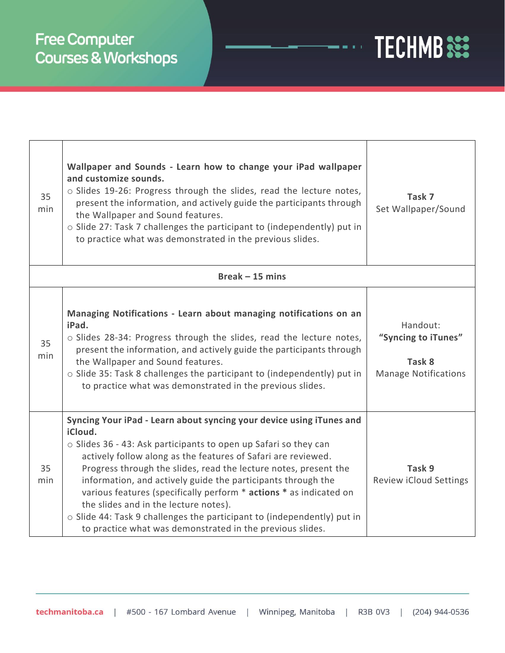# **Free Computer** Courses & Workshops

| 35<br>min        | Wallpaper and Sounds - Learn how to change your iPad wallpaper<br>and customize sounds.<br>o Slides 19-26: Progress through the slides, read the lecture notes,<br>present the information, and actively guide the participants through<br>the Wallpaper and Sound features.<br>o Slide 27: Task 7 challenges the participant to (independently) put in<br>to practice what was demonstrated in the previous slides.                                                                                                                                                                                            | Task 7<br>Set Wallpaper/Sound                                            |  |  |
|------------------|-----------------------------------------------------------------------------------------------------------------------------------------------------------------------------------------------------------------------------------------------------------------------------------------------------------------------------------------------------------------------------------------------------------------------------------------------------------------------------------------------------------------------------------------------------------------------------------------------------------------|--------------------------------------------------------------------------|--|--|
| $Break -15 mins$ |                                                                                                                                                                                                                                                                                                                                                                                                                                                                                                                                                                                                                 |                                                                          |  |  |
| 35<br>min        | Managing Notifications - Learn about managing notifications on an<br>iPad.<br>o Slides 28-34: Progress through the slides, read the lecture notes,<br>present the information, and actively guide the participants through<br>the Wallpaper and Sound features.<br>o Slide 35: Task 8 challenges the participant to (independently) put in<br>to practice what was demonstrated in the previous slides.                                                                                                                                                                                                         | Handout:<br>"Syncing to iTunes"<br>Task 8<br><b>Manage Notifications</b> |  |  |
| 35<br>min        | Syncing Your iPad - Learn about syncing your device using iTunes and<br>iCloud.<br>o Slides 36 - 43: Ask participants to open up Safari so they can<br>actively follow along as the features of Safari are reviewed.<br>Progress through the slides, read the lecture notes, present the<br>information, and actively guide the participants through the<br>various features (specifically perform * actions * as indicated on<br>the slides and in the lecture notes).<br>o Slide 44: Task 9 challenges the participant to (independently) put in<br>to practice what was demonstrated in the previous slides. | Task 9<br><b>Review iCloud Settings</b>                                  |  |  |

**TECHMB**<sup>322</sup>

 $\frac{1}{2}$  and  $\frac{1}{2}$